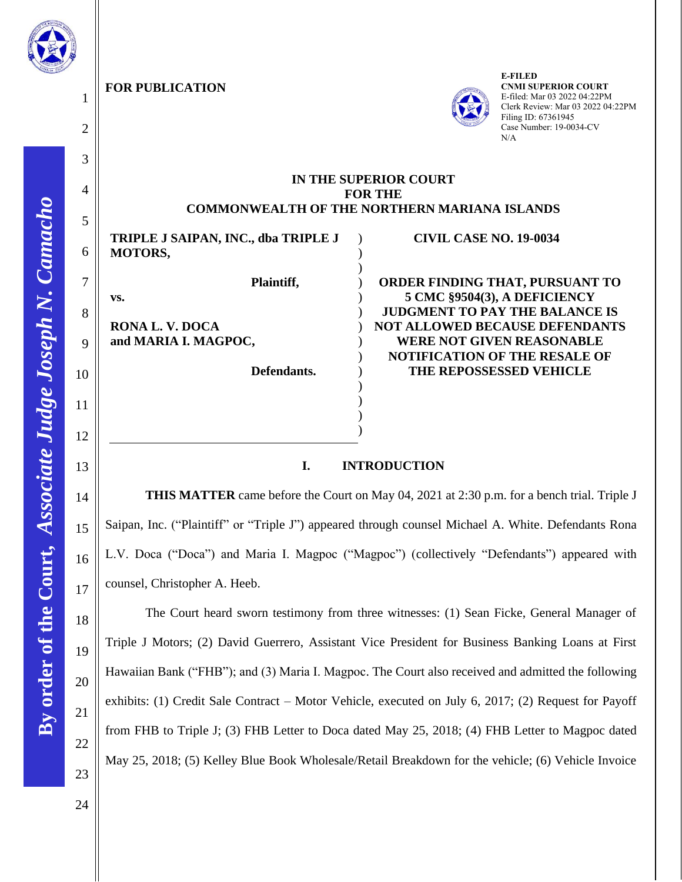

1

2

3

4

5

6

7

8

**vs.**

9

10

11

12

13

14

15

16

17

18

19

20

21

22

**FOR PUBLICATION**



**E-FILED CNMI SUPERIOR COURT** E-filed: Mar 03 2022 04:22PM Clerk Review: Mar 03 2022 04:22PM Filing ID: 67361945 Case Number: 19-0034-CV N/A

## **IN THE SUPERIOR COURT FOR THE COMMONWEALTH OF THE NORTHERN MARIANA ISLANDS**

) ) ) ) ) ) ) ) ) ) ) ) ) )

**TRIPLE J SAIPAN, INC., dba TRIPLE J MOTORS, Plaintiff,**

**RONA L. V. DOCA and MARIA I. MAGPOC,**

 **Defendants.**

## **CIVIL CASE NO. 19-0034**

**ORDER FINDING THAT, PURSUANT TO 5 CMC §9504(3), A DEFICIENCY JUDGMENT TO PAY THE BALANCE IS NOT ALLOWED BECAUSE DEFENDANTS WERE NOT GIVEN REASONABLE NOTIFICATION OF THE RESALE OF THE REPOSSESSED VEHICLE** 

## **I. INTRODUCTION**

**THIS MATTER** came before the Court on May 04, 2021 at 2:30 p.m. for a bench trial. Triple J Saipan, Inc. ("Plaintiff" or "Triple J") appeared through counsel Michael A. White. Defendants Rona L.V. Doca ("Doca") and Maria I. Magpoc ("Magpoc") (collectively "Defendants") appeared with counsel, Christopher A. Heeb.

The Court heard sworn testimony from three witnesses: (1) Sean Ficke, General Manager of Triple J Motors; (2) David Guerrero, Assistant Vice President for Business Banking Loans at First Hawaiian Bank ("FHB"); and (3) Maria I. Magpoc. The Court also received and admitted the following exhibits: (1) Credit Sale Contract – Motor Vehicle, executed on July 6, 2017; (2) Request for Payoff from FHB to Triple J; (3) FHB Letter to Doca dated May 25, 2018; (4) FHB Letter to Magpoc dated May 25, 2018; (5) Kelley Blue Book Wholesale/Retail Breakdown for the vehicle; (6) Vehicle Invoice

23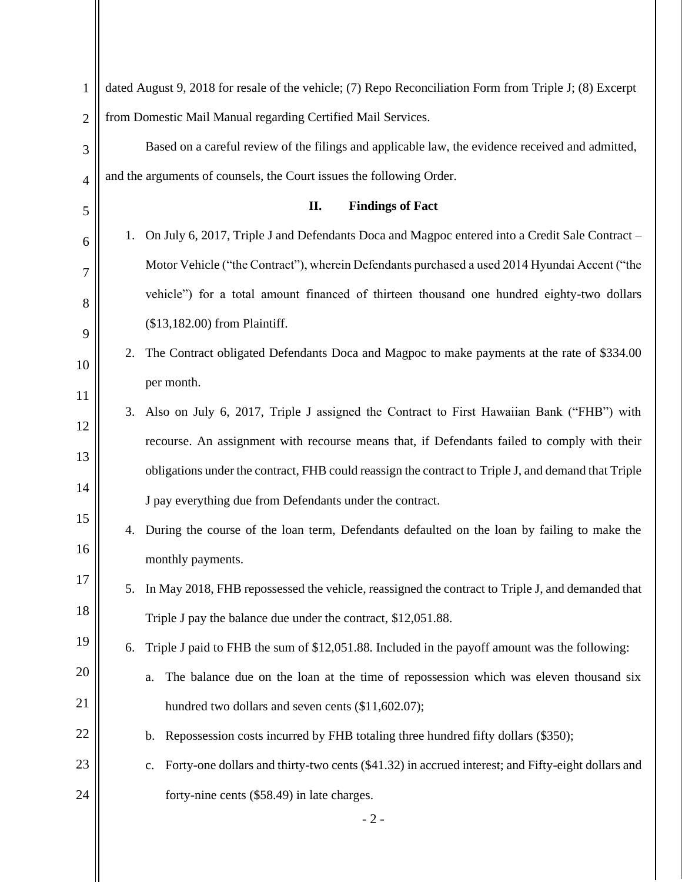| $\mathbf{1}$   | dated August 9, 2018 for resale of the vehicle; (7) Repo Reconciliation Form from Triple J; (8) Excerpt |
|----------------|---------------------------------------------------------------------------------------------------------|
| $\overline{2}$ | from Domestic Mail Manual regarding Certified Mail Services.                                            |
| 3              | Based on a careful review of the filings and applicable law, the evidence received and admitted,        |
| $\overline{4}$ | and the arguments of counsels, the Court issues the following Order.                                    |
| 5              | II.<br><b>Findings of Fact</b>                                                                          |
| 6              | 1. On July 6, 2017, Triple J and Defendants Doca and Magpoc entered into a Credit Sale Contract –       |
| 7              | Motor Vehicle ("the Contract"), wherein Defendants purchased a used 2014 Hyundai Accent ("the           |
| 8              | vehicle") for a total amount financed of thirteen thousand one hundred eighty-two dollars               |
| 9              | (\$13,182.00) from Plaintiff.                                                                           |
| 10             | The Contract obligated Defendants Doca and Magpoc to make payments at the rate of \$334.00<br>2.        |
| 11             | per month.                                                                                              |
| 12             | Also on July 6, 2017, Triple J assigned the Contract to First Hawaiian Bank ("FHB") with<br>3.          |
| 13             | recourse. An assignment with recourse means that, if Defendants failed to comply with their             |
| 14             | obligations under the contract, FHB could reassign the contract to Triple J, and demand that Triple     |
| 15             | J pay everything due from Defendants under the contract.                                                |
| 16             | During the course of the loan term, Defendants defaulted on the loan by failing to make the<br>4.       |
| 17             | monthly payments.                                                                                       |
|                | In May 2018, FHB repossessed the vehicle, reassigned the contract to Triple J, and demanded that<br>5.  |
| 18             | Triple J pay the balance due under the contract, \$12,051.88.                                           |
| 19             | Triple J paid to FHB the sum of \$12,051.88. Included in the payoff amount was the following:<br>6.     |
| 20             | The balance due on the loan at the time of repossession which was eleven thousand six<br>a.             |
| 21             | hundred two dollars and seven cents (\$11,602.07);                                                      |
| 22             | b. Repossession costs incurred by FHB totaling three hundred fifty dollars (\$350);                     |
| 23             | Forty-one dollars and thirty-two cents (\$41.32) in accrued interest; and Fifty-eight dollars and<br>c. |
| 24             | forty-nine cents (\$58.49) in late charges.                                                             |
|                | $-2-$                                                                                                   |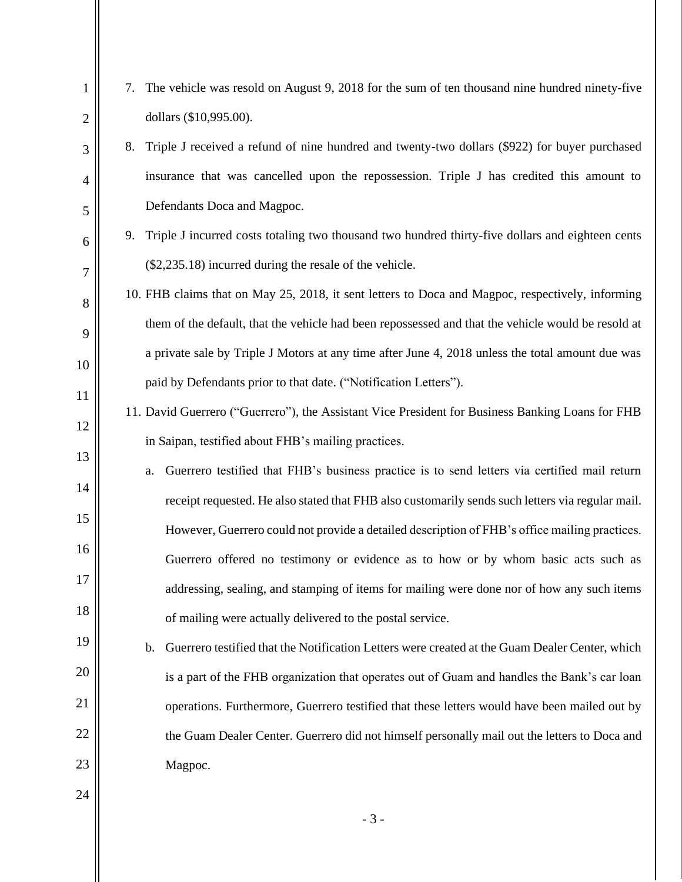| $\mathbf{1}$   | 7. The vehicle was resold on August 9, 2018 for the sum of ten thousand nine hundred ninety-five                 |
|----------------|------------------------------------------------------------------------------------------------------------------|
| $\mathfrak{2}$ | dollars (\$10,995.00).                                                                                           |
| 3              | Triple J received a refund of nine hundred and twenty-two dollars (\$922) for buyer purchased<br>8.              |
| $\overline{4}$ | insurance that was cancelled upon the repossession. Triple J has credited this amount to                         |
| 5              | Defendants Doca and Magpoc.                                                                                      |
| 6              | 9. Triple J incurred costs totaling two thousand two hundred thirty-five dollars and eighteen cents              |
| $\overline{7}$ | (\$2,235.18) incurred during the resale of the vehicle.                                                          |
| 8              | 10. FHB claims that on May 25, 2018, it sent letters to Doca and Magpoc, respectively, informing                 |
| 9              | them of the default, that the vehicle had been repossessed and that the vehicle would be resold at               |
| 10             | a private sale by Triple J Motors at any time after June 4, 2018 unless the total amount due was                 |
| 11             | paid by Defendants prior to that date. ("Notification Letters").                                                 |
| 12             | 11. David Guerrero ("Guerrero"), the Assistant Vice President for Business Banking Loans for FHB                 |
| 13             | in Saipan, testified about FHB's mailing practices.                                                              |
| 14             | Guerrero testified that FHB's business practice is to send letters via certified mail return<br>a.               |
| 15             | receipt requested. He also stated that FHB also customarily sends such letters via regular mail.                 |
|                | However, Guerrero could not provide a detailed description of FHB's office mailing practices.                    |
| 16             | Guerrero offered no testimony or evidence as to how or by whom basic acts such as                                |
| 17             | addressing, sealing, and stamping of items for mailing were done nor of how any such items                       |
| 18             | of mailing were actually delivered to the postal service.                                                        |
| 19             | Guerrero testified that the Notification Letters were created at the Guam Dealer Center, which<br>$\mathbf{b}$ . |
| 20             | is a part of the FHB organization that operates out of Guam and handles the Bank's car loan                      |
| 21             | operations. Furthermore, Guerrero testified that these letters would have been mailed out by                     |
| 22             | the Guam Dealer Center. Guerrero did not himself personally mail out the letters to Doca and                     |
| 23             | Magpoc.                                                                                                          |
| 24             |                                                                                                                  |

- 3 -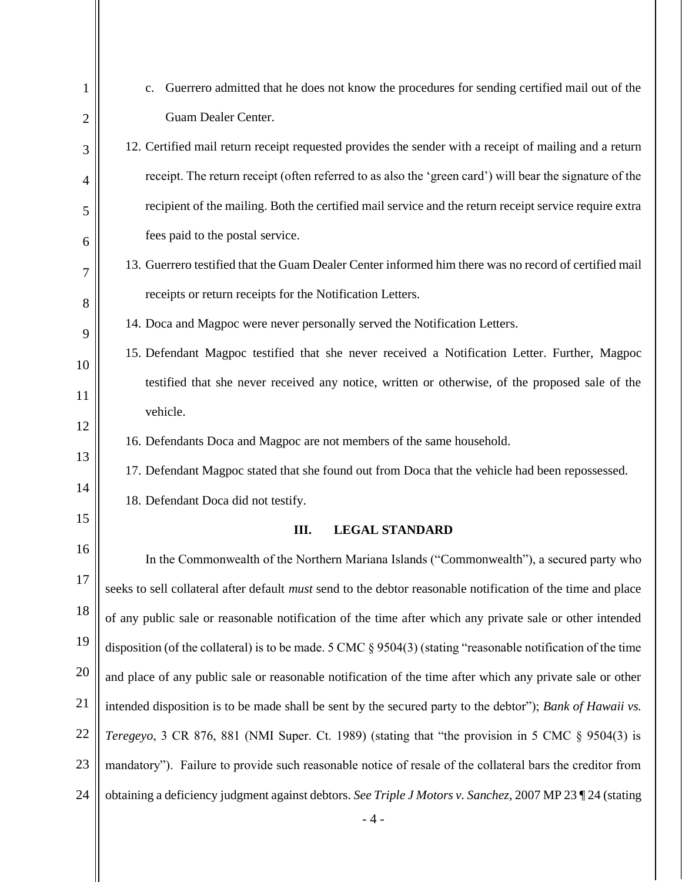| 1              | Guerrero admitted that he does not know the procedures for sending certified mail out of the<br>c.              |
|----------------|-----------------------------------------------------------------------------------------------------------------|
| $\overline{2}$ | Guam Dealer Center.                                                                                             |
| 3              | 12. Certified mail return receipt requested provides the sender with a receipt of mailing and a return          |
| 4              | receipt. The return receipt (often referred to as also the 'green card') will bear the signature of the         |
| 5              | recipient of the mailing. Both the certified mail service and the return receipt service require extra          |
| 6              | fees paid to the postal service.                                                                                |
| $\overline{7}$ | 13. Guerrero testified that the Guam Dealer Center informed him there was no record of certified mail           |
| 8              | receipts or return receipts for the Notification Letters.                                                       |
| 9              | 14. Doca and Magpoc were never personally served the Notification Letters.                                      |
| 10             | 15. Defendant Magpoc testified that she never received a Notification Letter. Further, Magpoc                   |
| 11             | testified that she never received any notice, written or otherwise, of the proposed sale of the                 |
| 12             | vehicle.                                                                                                        |
| 13             | 16. Defendants Doca and Magpoc are not members of the same household.                                           |
| 14             | 17. Defendant Magpoc stated that she found out from Doca that the vehicle had been repossessed.                 |
| 15             | 18. Defendant Doca did not testify.                                                                             |
|                | Ш.<br><b>LEGAL STANDARD</b>                                                                                     |
| 16             | In the Commonwealth of the Northern Mariana Islands ("Commonwealth"), a secured party who                       |
| 17             | seeks to sell collateral after default must send to the debtor reasonable notification of the time and place    |
| 18             | of any public sale or reasonable notification of the time after which any private sale or other intended        |
| 19             | disposition (of the collateral) is to be made. 5 CMC $\S 9504(3)$ (stating "reasonable notification of the time |
| 20             | and place of any public sale or reasonable notification of the time after which any private sale or other       |
| 21             | intended disposition is to be made shall be sent by the secured party to the debtor"); Bank of Hawaii vs.       |
| 22             | Teregeyo, 3 CR 876, 881 (NMI Super. Ct. 1989) (stating that "the provision in 5 CMC § 9504(3) is                |
| 23             | mandatory"). Failure to provide such reasonable notice of resale of the collateral bars the creditor from       |
| 24             | obtaining a deficiency judgment against debtors. See Triple J Motors v. Sanchez, 2007 MP 23 124 (stating        |
|                | $-4-$                                                                                                           |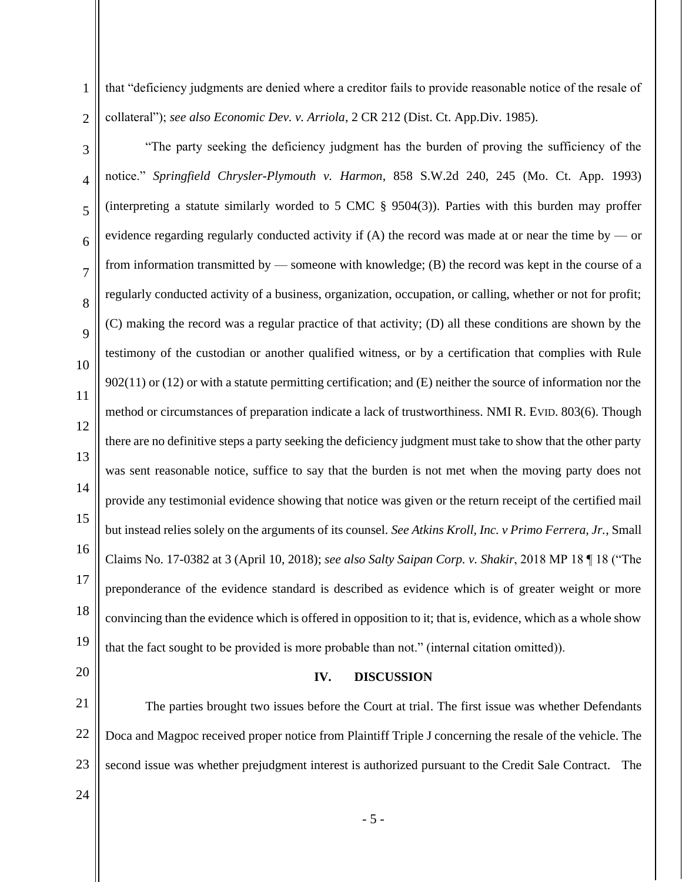2 that "deficiency judgments are denied where a creditor fails to provide reasonable notice of the resale of collateral"); *see also Economic Dev. v. Arriola*, 2 CR 212 (Dist. Ct. App.Div. 1985).

- 3 4 5 6 7 8  $\overline{Q}$ 10 11 12 13 14 15 16 17 18 19 "The party seeking the deficiency judgment has the burden of proving the sufficiency of the notice." *Springfield Chrysler-Plymouth v. Harmon*, 858 S.W.2d 240, 245 (Mo. Ct. App. 1993) (interpreting a statute similarly worded to 5 CMC § 9504(3)). Parties with this burden may proffer evidence regarding regularly conducted activity if  $(A)$  the record was made at or near the time by — or from information transmitted by — someone with knowledge; (B) the record was kept in the course of a regularly conducted activity of a business, organization, occupation, or calling, whether or not for profit; (C) making the record was a regular practice of that activity; (D) all these conditions are shown by the testimony of the custodian or another qualified witness, or by a certification that complies with Rule 902(11) or (12) or with a statute permitting certification; and (E) neither the source of information nor the method or circumstances of preparation indicate a lack of trustworthiness. NMI R. EVID. 803(6). Though there are no definitive steps a party seeking the deficiency judgment must take to show that the other party was sent reasonable notice, suffice to say that the burden is not met when the moving party does not provide any testimonial evidence showing that notice was given or the return receipt of the certified mail but instead relies solely on the arguments of its counsel. *See Atkins Kroll, Inc. v Primo Ferrera, Jr.*, Small Claims No. 17-0382 at 3 (April 10, 2018); *see also Salty Saipan Corp. v. Shakir*, 2018 MP 18 ¶ 18 ("The preponderance of the evidence standard is described as evidence which is of greater weight or more convincing than the evidence which is offered in opposition to it; that is, evidence, which as a whole show that the fact sought to be provided is more probable than not." (internal citation omitted)).
- 20

1

## **IV. DISCUSSION**

21 22 23 The parties brought two issues before the Court at trial. The first issue was whether Defendants Doca and Magpoc received proper notice from Plaintiff Triple J concerning the resale of the vehicle. The second issue was whether prejudgment interest is authorized pursuant to the Credit Sale Contract. The

24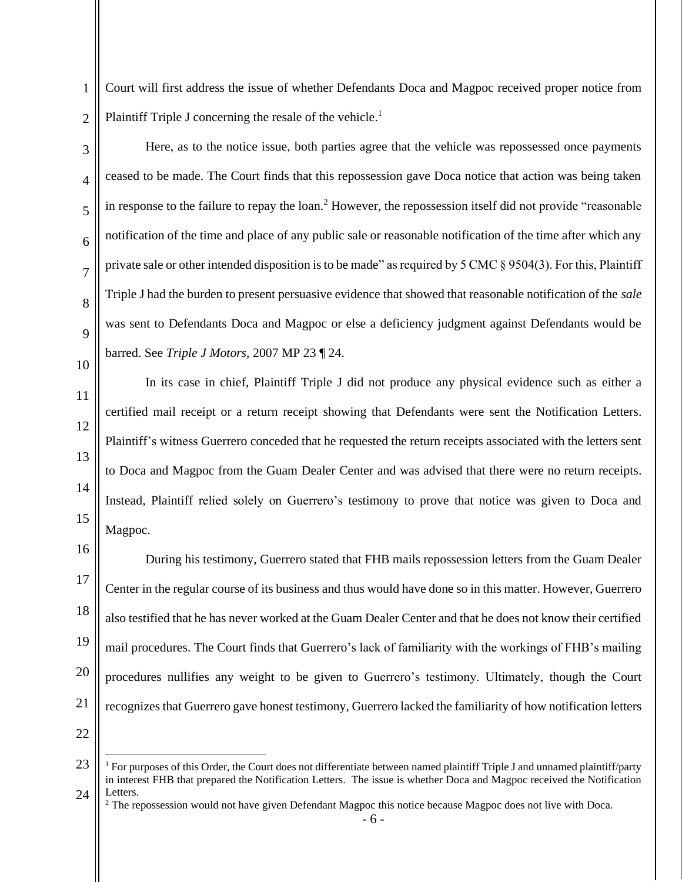1  $\mathfrak{D}$ Court will first address the issue of whether Defendants Doca and Magpoc received proper notice from Plaintiff Triple J concerning the resale of the vehicle.<sup>1</sup>

3

4 5 6 7 8  $\overline{Q}$ 10 Here, as to the notice issue, both parties agree that the vehicle was repossessed once payments ceased to be made. The Court finds that this repossession gave Doca notice that action was being taken in response to the failure to repay the loan.<sup>2</sup> However, the repossession itself did not provide "reasonable" notification of the time and place of any public sale or reasonable notification of the time after which any private sale or other intended disposition is to be made" as required by 5 CMC  $\S 9504(3)$ . For this, Plaintiff Triple J had the burden to present persuasive evidence that showed that reasonable notification of the *sale* was sent to Defendants Doca and Magpoc or else a deficiency judgment against Defendants would be barred. See *Triple J Motors*, 2007 MP 23 ¶ 24.

11 12 13 14 15 In its case in chief, Plaintiff Triple J did not produce any physical evidence such as either a certified mail receipt or a return receipt showing that Defendants were sent the Notification Letters. Plaintiff's witness Guerrero conceded that he requested the return receipts associated with the letters sent to Doca and Magpoc from the Guam Dealer Center and was advised that there were no return receipts. Instead, Plaintiff relied solely on Guerrero's testimony to prove that notice was given to Doca and Magpoc.

16 17 18 19 20 21 During his testimony, Guerrero stated that FHB mails repossession letters from the Guam Dealer Center in the regular course of its business and thus would have done so in this matter. However, Guerrero also testified that he has never worked at the Guam Dealer Center and that he does not know their certified mail procedures. The Court finds that Guerrero's lack of familiarity with the workings of FHB's mailing procedures nullifies any weight to be given to Guerrero's testimony. Ultimately, though the Court recognizes that Guerrero gave honest testimony, Guerrero lacked the familiarity of how notification letters

22

<sup>23</sup> 24 <sup>1</sup> For purposes of this Order, the Court does not differentiate between named plaintiff Triple J and unnamed plaintiff/party in interest FHB that prepared the Notification Letters. The issue is whether Doca and Magpoc received the Notification Letters.

<sup>&</sup>lt;sup>2</sup> The repossession would not have given Defendant Magpoc this notice because Magpoc does not live with Doca.